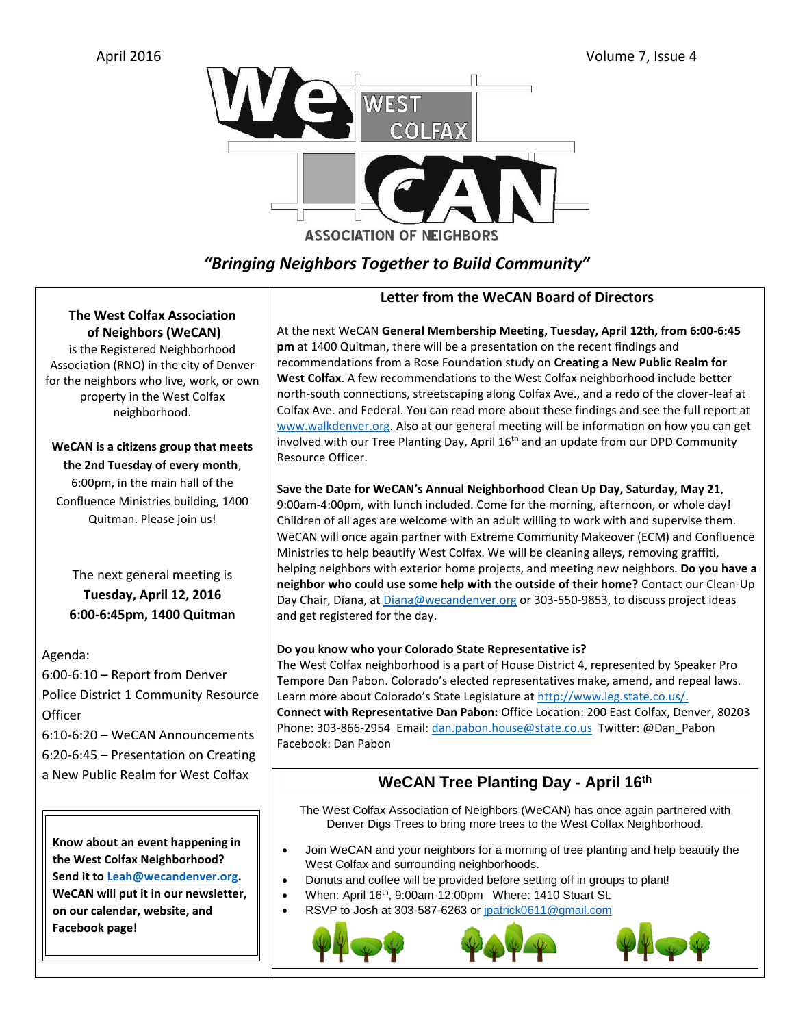

# *"Bringing Neighbors Together to Build Community"*

### **The West Colfax Association of Neighbors (WeCAN)**

is the Registered Neighborhood Association (RNO) in the city of Denver for the neighbors who live, work, or own property in the West Colfax neighborhood.

**WeCAN is a citizens group that meets the 2nd Tuesday of every month**, 6:00pm, in the main hall of the Confluence Ministries building, 1400 Quitman. Please join us!

The next general meeting is **Tuesday, April 12, 2016 6:00-6:45pm, 1400 Quitman**

Agenda:

6:00-6:10 – Report from Denver Police District 1 Community Resource **Officer** 

6:10-6:20 – WeCAN Announcements 6:20-6:45 – Presentation on Creating a New Public Realm for West Colfax

**Know about an event happening in the West Colfax Neighborhood? Send it t[o Leah@wecandenver.org.](mailto:Leah@wecandenver.org) WeCAN will put it in our newsletter, on our calendar, website, and Facebook page!** 

### **Letter from the WeCAN Board of Directors**

At the next WeCAN **General Membership Meeting, Tuesday, April 12th, from 6:00-6:45 pm** at 1400 Quitman, there will be a presentation on the recent findings and recommendations from a Rose Foundation study on **Creating a New Public Realm for West Colfax**. A few recommendations to the West Colfax neighborhood include better north-south connections, streetscaping along Colfax Ave., and a redo of the clover-leaf at Colfax Ave. and Federal. You can read more about these findings and see the full report at [www.walkdenver.org.](http://www.walkdenver.org/) Also at our general meeting will be information on how you can get involved with our Tree Planting Day, April 16<sup>th</sup> and an update from our DPD Community Resource Officer.

### **Save the Date for WeCAN's Annual Neighborhood Clean Up Day, Saturday, May 21**,

9:00am-4:00pm, with lunch included. Come for the morning, afternoon, or whole day! Children of all ages are welcome with an adult willing to work with and supervise them. WeCAN will once again partner with Extreme Community Makeover (ECM) and Confluence Ministries to help beautify West Colfax. We will be cleaning alleys, removing graffiti, helping neighbors with exterior home projects, and meeting new neighbors. **Do you have a neighbor who could use some help with the outside of their home?** Contact our Clean-Up Day Chair, Diana, a[t Diana@wecandenver.org](mailto:Diana@wecandenver.org) or 303-550-9853, to discuss project ideas and get registered for the day.

### **Do you know who your Colorado State Representative is?**

The West Colfax neighborhood is a part of House District 4, represented by Speaker Pro Tempore Dan Pabon. Colorado's elected representatives make, amend, and repeal laws. Learn more about Colorado's State Legislature a[t http://www.leg.state.co.us/.](http://www.leg.state.co.us/) **Connect with Representative Dan Pabon:** Office Location: 200 East Colfax, Denver, 80203 Phone: 303-866-2954 Email: [dan.pabon.house@state.co.us](mailto:dan.pabon.house@state.co.us)Twitter: @Dan\_Pabon Facebook: Dan Pabon

## **WeCAN Tree Planting Day - April 16th**

The West Colfax Association of Neighbors (WeCAN) has once again partnered with Denver Digs Trees to bring more trees to the West Colfax Neighborhood.

- Join WeCAN and your neighbors for a morning of tree planting and help beautify the West Colfax and surrounding neighborhoods.
- Donuts and coffee will be provided before setting off in groups to plant!
- When: April 16<sup>th</sup>, 9:00am-12:00pm Where: 1410 Stuart St.
- RSVP to Josh at 303-587-6263 or [jpatrick0611@gmail.com](mailto:jpatrick0611@gmail.com)